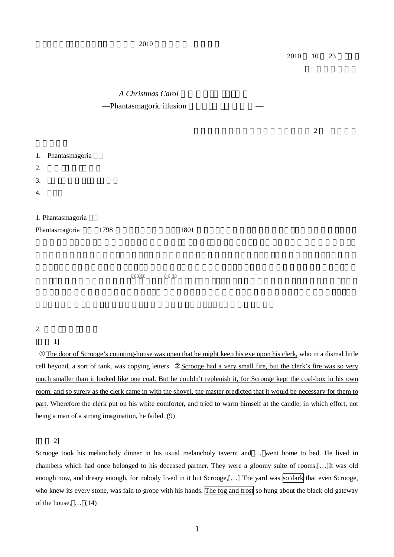# *A Christmas Carol* Phantasmagoric illusion

2

|    | 1. Phantasmagoria |      |      |
|----|-------------------|------|------|
| 2. |                   |      |      |
| 3. |                   |      |      |
| 4. |                   |      |      |
|    |                   |      |      |
|    | 1. Phantasmagoria |      |      |
|    | Phantasmagoria    | 1798 | 1801 |

## 2.

The door of Scrooge's counting-house was open that he might keep his eye upon his clerk, who in a dismal little cell beyond, a sort of tank, was copying letters. Scrooge had a very small fire, but the clerk's fire was so very much smaller than it looked like one coal. But he couldn't replenish it, for Scrooge kept the coal-box in his own room; and so surely as the clerk came in with the shovel, the master predicted that it would be necessary for them to part. Wherefore the clerk put on his white comforter, and tried to warm himself at the candle; in which effort, not being a man of a strong imagination, he failed. (9)

#### $\begin{bmatrix} 2 \end{bmatrix}$

Scrooge took his melancholy dinner in his usual melancholy tavern; and … went home to bed. He lived in chambers which had once belonged to his deceased partner. They were a gloomy suite of rooms,[…]It was old enough now, and dreary enough, for nobody lived in it but Scrooge,[...] The yard was so dark that even Scrooge, who knew its every stone, was fain to grope with his hands. The fog and frost so hung about the black old gateway of the house, … (14)

 $\lceil$  1]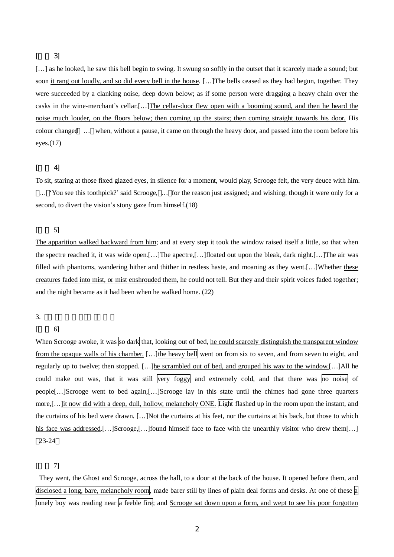## [ 3]

[...] as he looked, he saw this bell begin to swing. It swung so softly in the outset that it scarcely made a sound; but soon it rang out loudly, and so did every bell in the house. […]The bells ceased as they had begun, together. They were succeeded by a clanking noise, deep down below; as if some person were dragging a heavy chain over the casks in the wine-merchant's cellar.[…]The cellar-door flew open with a booming sound, and then he heard the noise much louder, on the floors below; then coming up the stairs; then coming straight towards his door. His colour changed … when, without a pause, it came on through the heavy door, and passed into the room before his eyes.(17)

#### $\begin{bmatrix} 4 \end{bmatrix}$

To sit, staring at those fixed glazed eyes, in silence for a moment, would play, Scrooge felt, the very deuce with him. … 'You see this toothpick?' said Scrooge, … for the reason just assigned; and wishing, though it were only for a second, to divert the vision's stony gaze from himself.(18)

### [ 5]

The apparition walked backward from him; and at every step it took the window raised itself a little, so that when the spectre reached it, it was wide open.[…]The apectre,[…]floated out upon the bleak, dark night.[…]The air was filled with phantoms, wandering hither and thither in restless haste, and moaning as they went.[…]Whether these creatures faded into mist, or mist enshrouded them, he could not tell. But they and their spirit voices faded together; and the night became as it had been when he walked home. (22)

#### 3.

#### $\begin{bmatrix} 6 \end{bmatrix}$

When Scrooge awoke, it was so dark that, looking out of bed, he could scarcely distinguish the transparent window from the opaque walls of his chamber. [...] the heavy bell went on from six to seven, and from seven to eight, and regularly up to twelve; then stopped. [...]he scrambled out of bed, and grouped his way to the window.[...]All he could make out was, that it was still very foggy and extremely cold, and that there was no noise of people[…]Scrooge went to bed again,[…]Scrooge lay in this state until the chimes had gone three quarters more,[…]it now did with a deep, dull, hollow, melancholy ONE. Light flashed up in the room upon the instant, and the curtains of his bed were drawn. […]Not the curtains at his feet, nor the curtains at his back, but those to which his face was addressed.[…]Scrooge,[…]found himself face to face with the unearthly visitor who drew them[…] 23-24

#### $\begin{bmatrix} 7 \end{bmatrix}$

They went, the Ghost and Scrooge, across the hall, to a door at the back of the house. It opened before them, and disclosed a long, bare, melancholy room, made barer still by lines of plain deal forms and desks. At one of these a lonely boy was reading near a feeble fire; and Scrooge sat down upon a form, and wept to see his poor forgotten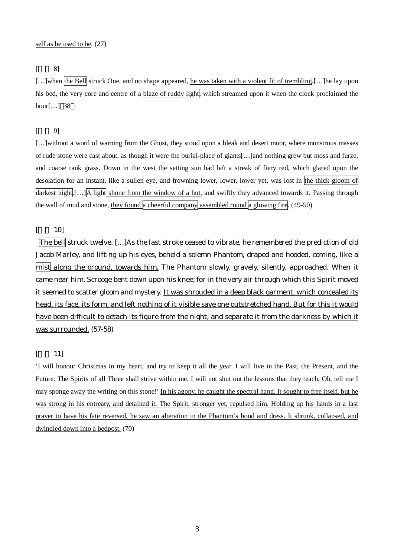## $\begin{bmatrix} 8 \end{bmatrix}$

[...]when the Bell struck One, and no shape appeared, he was taken with a violent fit of trembling.[...]he lay upon his bed, the very core and centre of a blaze of ruddy light, which streamed upon it when the clock proclaimed the hour[…] 38

#### $\begin{bmatrix} 9 \end{bmatrix}$

[...]without a word of warning from the Ghost, they stood upon a bleak and desert moor, where monstrous masses of rude stone were cast about, as though it were the burial-place of giants[...]and nothing grew but moss and furze, and coarse rank grass. Down in the west the setting sun had left a streak of fiery red, which glared upon the desolation for an instant, like a sullen eye, and frowning lower, lower, lower yet, was lost in the thick gloom of darkest night.[…]A light shone from the window of a hut, and swiftly they advanced towards it. Passing through the wall of mud and stone, they found a cheerful company assembled round a glowing fire.  $(49-50)$ 

[ 10]

The bell struck twelve. […]As the last stroke ceased to vibrate, he remembered the prediction of old Jacob Marley, and lifting up his eyes, beheld a solemn Phantom, draped and hooded, coming, like a mist along the ground, towards him. The Phantom slowly, gravely, silently, approached. When it came near him, Scrooge bent down upon his knee; for in the very air through which this Spirit moved it seemed to scatter gloom and mystery. It was shrouded in a deep black garment, which concealed its head, its face, its form, and left nothing of it visible save one outstretched hand. But for this it would have been difficult to detach its figure from the night, and separate it from the darkness by which it was surrounded. (57-58)

#### [ 11]

'I will honour Christmas in my heart, and try to keep it all the year. I will live in the Past, the Present, and the Future. The Spirits of all Three shall strive within me. I will not shut out the lessons that they teach. Oh, tell me I may sponge away the writing on this stone!' In his agony, he caught the spectral hand. It sought to free itself, but he was strong in his entreaty, and detained it. The Spirit, stronger yet, repulsed him. Holding up his hands in a last prayer to have his fate reversed, he saw an alteration in the Phantom's hood and dress. It shrunk, collapsed, and dwindled down into a bedpost. (70)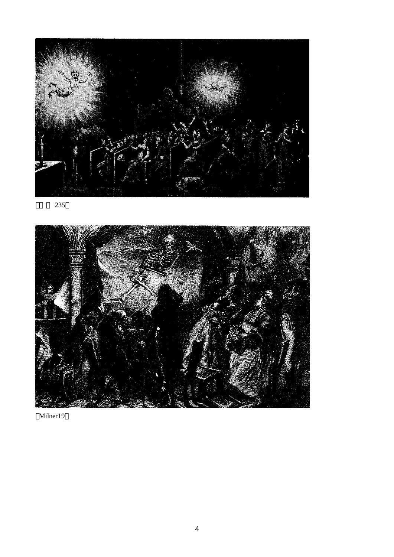

235



Milner19